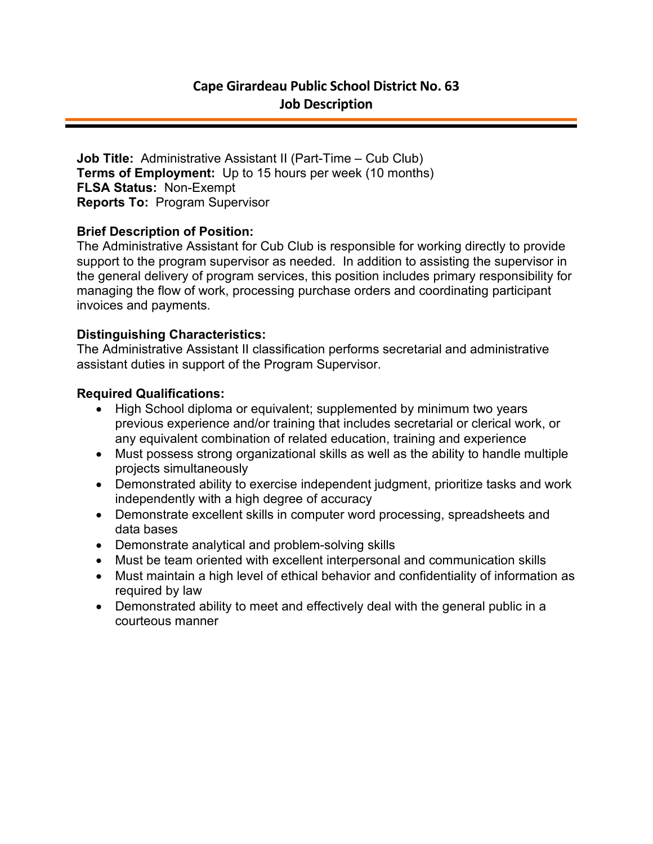**Job Title:** Administrative Assistant II (Part-Time – Cub Club) **Terms of Employment:** Up to 15 hours per week (10 months) **FLSA Status:** Non-Exempt **Reports To:** Program Supervisor

## **Brief Description of Position:**

The Administrative Assistant for Cub Club is responsible for working directly to provide support to the program supervisor as needed. In addition to assisting the supervisor in the general delivery of program services, this position includes primary responsibility for managing the flow of work, processing purchase orders and coordinating participant invoices and payments.

## **Distinguishing Characteristics:**

The Administrative Assistant II classification performs secretarial and administrative assistant duties in support of the Program Supervisor.

## **Required Qualifications:**

- High School diploma or equivalent; supplemented by minimum two years previous experience and/or training that includes secretarial or clerical work, or any equivalent combination of related education, training and experience
- Must possess strong organizational skills as well as the ability to handle multiple projects simultaneously
- Demonstrated ability to exercise independent judgment, prioritize tasks and work independently with a high degree of accuracy
- Demonstrate excellent skills in computer word processing, spreadsheets and data bases
- Demonstrate analytical and problem-solving skills
- Must be team oriented with excellent interpersonal and communication skills
- Must maintain a high level of ethical behavior and confidentiality of information as required by law
- Demonstrated ability to meet and effectively deal with the general public in a courteous manner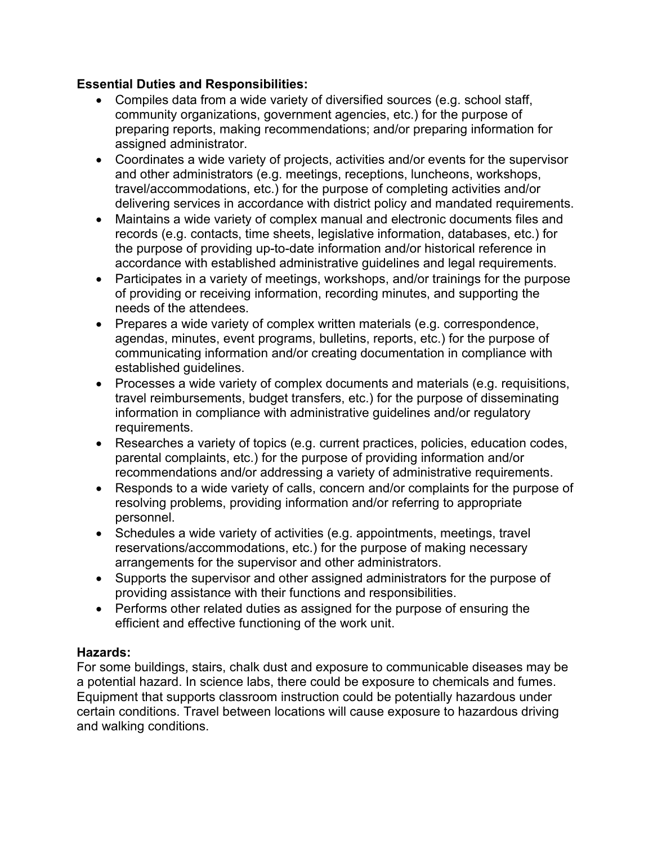# **Essential Duties and Responsibilities:**

- Compiles data from a wide variety of diversified sources (e.g. school staff, community organizations, government agencies, etc.) for the purpose of preparing reports, making recommendations; and/or preparing information for assigned administrator.
- Coordinates a wide variety of projects, activities and/or events for the supervisor and other administrators (e.g. meetings, receptions, luncheons, workshops, travel/accommodations, etc.) for the purpose of completing activities and/or delivering services in accordance with district policy and mandated requirements.
- Maintains a wide variety of complex manual and electronic documents files and records (e.g. contacts, time sheets, legislative information, databases, etc.) for the purpose of providing up-to-date information and/or historical reference in accordance with established administrative guidelines and legal requirements.
- Participates in a variety of meetings, workshops, and/or trainings for the purpose of providing or receiving information, recording minutes, and supporting the needs of the attendees.
- Prepares a wide variety of complex written materials (e.g. correspondence, agendas, minutes, event programs, bulletins, reports, etc.) for the purpose of communicating information and/or creating documentation in compliance with established guidelines.
- Processes a wide variety of complex documents and materials (e.g. requisitions, travel reimbursements, budget transfers, etc.) for the purpose of disseminating information in compliance with administrative guidelines and/or regulatory requirements.
- Researches a variety of topics (e.g. current practices, policies, education codes, parental complaints, etc.) for the purpose of providing information and/or recommendations and/or addressing a variety of administrative requirements.
- Responds to a wide variety of calls, concern and/or complaints for the purpose of resolving problems, providing information and/or referring to appropriate personnel.
- Schedules a wide variety of activities (e.g. appointments, meetings, travel reservations/accommodations, etc.) for the purpose of making necessary arrangements for the supervisor and other administrators.
- Supports the supervisor and other assigned administrators for the purpose of providing assistance with their functions and responsibilities.
- Performs other related duties as assigned for the purpose of ensuring the efficient and effective functioning of the work unit.

## **Hazards:**

For some buildings, stairs, chalk dust and exposure to communicable diseases may be a potential hazard. In science labs, there could be exposure to chemicals and fumes. Equipment that supports classroom instruction could be potentially hazardous under certain conditions. Travel between locations will cause exposure to hazardous driving and walking conditions.